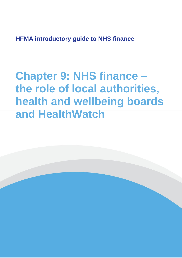**HFMA introductory guide to NHS finance**

**Chapter 9: NHS finance – the role of local authorities, health and wellbeing boards and HealthWatch**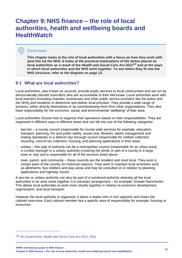# **Chapter 9: NHS finance – the role of local authorities, health and wellbeing boards and HealthWatch**

# **Overview**

O

**This chapter looks at the role of local authorities with a focus on how they work with (and link to) the NHS. It looks at the practical implications of the duties placed on local authorities as a result of the** *Health and Social Care Act 2012<sup>105</sup>* **and at the ways in which local authorities and the NHS work together. To see where they fit into the NHS structure, refer to the diagram on page 13.**

# **9.1 What are local authorities?**

Local authorities, also known as councils, provide public services to local communities and are run by democratically elected councillors who are accountable to their electorate. Local authorities work with local partners (including charities, businesses and other public service providers like the police and the NHS) and residents to determine and deliver local priorities. They provide a wide range of services, either directly themselves or by commissioning them from other organisations. They also have responsibility for the economic, social, and environmental 'wellbeing' of their area.

Local authorities choose how to organise their operations based on their responsibilities. They are organised in different ways in different areas and can fall into one of the following categories:

- two-tier a county council (responsible for county-wide services for example, education, transport, planning, fire and public safety, social care, libraries, waste management and trading standards) or a district/ city/ borough council (responsible for rubbish collection, recycling, council tax collection, housing, and planning applications in their area)
- unitary this type of authority can be a metropolitan council (responsible for an urban area), a London borough or a unitary authority (covering the whole or part of a county or a large town or city) and is responsible for all of the services listed above
- town, parish, and community these councils are the smallest and most local. They exist in certain parts of the country for historical reasons. They work to maintain local amenities such as allotments, bus shelters and play areas and may be consulted on in relation to planning applications and highway issues.

A two-tier or unitary authority can also be part of a combined authority whereby all the local authorities in an area come together in a voluntary arrangement – for example, Greater Manchester. This allows local authorities to work more closely together in relation to economic development, regeneration, and local transport.

However the local authority is organised, it elects a leader who in turn appoints and chairs the cabinet/ executive. Each cabinet member has a specific area of responsibility for example, housing or resources.

<sup>105</sup> UK Government, *[Health and Social Care Act 2012](https://www.legislation.gov.uk/ukpga/2012/7/contents)*, 2012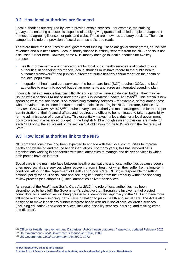# **9.2 How local authorities are financed**

Local authorities are required by law to provide certain services – for example, maintaining graveyards, ensuring asbestos is disposed of safely, giving grants to disabled people to adapt their homes and agreeing licenses for pubs and clubs. These are known as statutory services. The main categories include the provision of social care, schools, and roads.

There are three main sources of local government funding. These are government grants, council tax revenues and business rates. Local authority finance is entirely separate from the NHS and so is not discussed further here. However, some NHS money does go to local authorities for two key purposes:

- health improvement a ring fenced grant for local public health services is allocated to local authorities. In spending this money, local authorities must have regard to the public health outcomes framework<sup>106</sup> and publish a director of public health's annual report on the health of the local population
- integration of health and care services the better care fund (BCF) requires CCGs and local authorities to enter into pooled budget arrangements and agree an integrated spending plan.

If councils get into serious financial difficulty and cannot achieve a balanced budget, they may be issued with a section 114 notice under the *Local Government Finance Act 1988<sup>107</sup>*. This prohibits new spending while the sole focus is on maintaining statutory services – for example, safeguarding those who are vulnerable. In some contrast to health bodies in the English NHS, therefore, Section 151 of the *Local Government Act 1972<sup>108</sup>* requires every local authority to make arrangements for the proper administration of their financial affairs and requires one officer to be nominated to take responsibility for the administration of those affairs. This essentially makes it a legal duty for a local government body to live within a balanced budget. In the English NHS although similar provisions are made for each NHS body, the equivalent of the section 151 obligation for the NHS sits with the Secretary of State.

# **9.3 How local authorities link to the NHS**

NHS organisations have long been expected to engage with their local communities to improve health and wellbeing and reduce health inequalities. For many years, this has involved NHS organisations working in partnership with local authorities to manage and deliver services in which both parties have an interest.

Social care is the main interface between health organisations and local authorities because people often need social care services when recovering from ill health or when they suffer from a long-term condition. Although the Department of Health and Social Care (DHSC) is responsible for setting national policy for adult social care and securing its funding from the Treasury within the spending review process (see chapter 10), local authorities deliver the services.

As a result of the *Health and Social Care Act 2012*, the role of local authorities has been strengthened to help fulfil the Government's objective that, through the involvement of elected councillors, local authorities will bring greater local democratic legitimacy to the NHS and have more influence over commissioning, particularly in relation to public health and social care. The Act is also designed to make it easier to 'further integrate health with adult social care, children's services (including education) and wider services, including disability services, housing, and tackling crime and disorder'.

<sup>107</sup> UK Government, *[Local Government Finance Act 1988](https://www.legislation.gov.uk/ukpga/1988/41/contents)*, 1988

**HFMA introductory guide to NHS finance**

<sup>106</sup> [Office for Health Improvement and Disparities,](https://www.gov.uk/government/collections/public-health-outcomes-framework) *Public health outcomes framework,* updated February 2022

<sup>108</sup> UK Government, *[Local Government Act 1972,](https://www.legislation.gov.uk/ukpga/1972/70/contents)* 1972

**Chapter 9: NHS finance – the role of local authorities, health and wellbeing boards and HealthWatch** <sup>81</sup>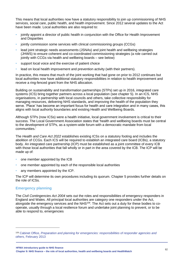This means that local authorities now have a statutory responsibility to join up commissioning of NHS services, social care, public health, and health improvement. Since 2012 several updates to the Act have been made. Local authorities are also required to:

- jointly appoint a director of public health in conjunction with the Office for Health Improvement and Disparities
- jointly commission some services with clinical commissioning groups (CCGs)
- lead joint strategic needs assessments (JSNAs) and joint health and wellbeing strategies (JHWS) to ensure coherent and co-coordinated commissioning strategies (a role carried out jointly with CCGs via health and wellbeing boards – see below)
- support local voice and the exercise of patient choice
- lead on local health improvement and prevention activity (with their partners).

In practice, this means that much of the joint working that had gone on prior to 2012 continues but local authorities now have additional statutory responsibilities in relation to health improvement and receive a ring-fenced grant from the NHS allocation.

Building on sustainability and transformation partnerships (STPs) set up in 2016, integrated care systems (ICS) bring together partners across a local population (see chapter 5). In an ICS, NHS organisations, in partnership with local councils and others, take collective responsibility for managing resources, delivering NHS standards, and improving the health of the population they serve. 'Place' has become an important focus for health and care integration and in many cases, this aligns with local authority boundaries and existing Health and Wellbeing Boards.

Although STPs (now ICSs) were a health initiative, local government involvement is critical to their success. The Local Government Association states that 'health and wellbeing boards must be central to the development of STPs, as a system-wide forum with a democratic mandate from local communities.'

The *Health and Care Act 2022* establishes existing ICSs on a statutory footing and includes the abolition of CCGs. Each ICS will be required to establish an integrated care board (ICBs), a statutory body. An integrated care partnership (ICP) must be established as a joint committee of every ICB with those local authorities that fall wholly or in part in the area covered by the ICB. The ICP will be made up of:

- one member appointed by the ICB
- one member appointed by each of the responsible local authorities
- any members appointed by the ICP.

The ICP will determine its own procedures including its quorum. Chapter 5 provides further details on the role of ICSs.

### **Emergency planning**

The *Civil Contingencies Act 2004* sets out the roles and responsibilities of emergency responders in England and Wales. All principal local authorities are category one responders under the Act, alongside the emergency services and the NHS<sup>109</sup>. The Act sets out a duty for these bodies to cooperate, usually through a local resilience forum and undertake joint planning to prevent, or to be able to respond to, emergencies

<sup>109</sup> Cabinet Office, *[Preparation and planning for emergencies: responsibilities of responder agencies and](https://www.gov.uk/guidance/preparation-and-planning-for-emergencies-responsibilities-of-responder-agencies-and-others)  others,* [February 2013](https://www.gov.uk/guidance/preparation-and-planning-for-emergencies-responsibilities-of-responder-agencies-and-others)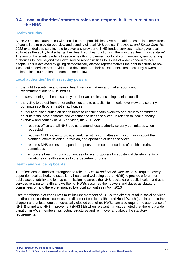## **9.4 Local authorities' statutory roles and responsibilities in relation to the NHS**

### **Health scrutiny**

Since 2003, local authorities with social care responsibilities have been able to establish committees of councillors to provide overview and scrutiny of local NHS bodies. The *Health and Social Care Act 2012* extended this scrutiny role to cover any provider of NHS funded services. It also gave local authorities the ability to discharge their health scrutiny functions in 'the way they deem most suitable'. The aim of this scrutiny role is to secure health improvement for local communities by encouraging authorities to look beyond their own service responsibilities to issues of wider concern to local people. This is achieved by giving democratically elected representatives the right to scrutinise how local health services are provided and developed for their constituents. Health scrutiny powers and duties of local authorities are summarised below.

### **Local authorities' health scrutiny powers**

- the right to scrutinise and review health service matters and make reports and recommendations to NHS bodies
- powers to delegate health scrutiny to other authorities, including district councils
- the ability to co-opt from other authorities and to establish joint health overview and scrutiny committees with other first-tier authorities
- authority to place duties on health trusts to consult health overview and scrutiny committees on substantial developments and variations to health services. In relation to local authority overview and scrutiny of NHS services, the 2012 Act:
	- requires officers of all NHS bodies to attend local authority scrutiny committees when requested
	- requires NHS bodies to provide health scrutiny committees with information about the planning, commissioning, provision, and operation of health services
	- requires NHS bodies to respond to reports and recommendations of health scrutiny committees
	- empowers health scrutiny committees to refer proposals for substantial developments or variations in health services to the Secretary of State.

### **Health and wellbeing boards**

To reflect local authorities' strengthened role, the *Health and Social Care Act 2012* required every upper tier local authority to establish a health and wellbeing board (HWB) to provide a forum for public accountability and join up commissioning across the NHS, social care, public health, and other services relating to health and wellbeing. HWBs assumed their powers and duties as statutory committees of (and therefore financed by) local authorities in April 2013.

Core membership of each HWB must include members of CCGs, the director of adult social services, the director of children's services, the director of public health, local HealthWatch (see later on in this chapter) and at least one democratically elected councillor. HWBs can also require the attendance of NHS England and NHS Improvement (NHSE&I) when relevant. It must be noted that there is a wide variation in HWB memberships, voting structures and remit over and above the statutory requirements.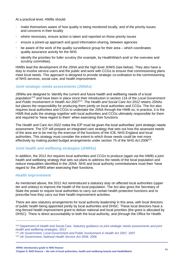At a practical level, HWBs should:

- make themselves aware of how quality is being monitored locally, and of the priority issues and concerns in their locality
- where necessary, ensure action is taken and reported on those priority issues
- ensure a joined-up approach and good information-sharing, between agencies
- be aware of the work of the quality surveillance group for their area which coordinates quality assurance activity for the NHS
- identify the priorities for fuller scrutiny (for example, by HealthWatch and/ or the overview and scrutiny committee).

HWBs lead the development of the JSNA and the high level JHWS (see below). They also have a duty to involve service users and the public and work with CCGs to ensure that commissioning plans meet local needs. This approach is designed to provide strategic co-ordination to the commissioning of NHS services, social care, and health improvement.

### **Joint strategic needs assessments (JSNAs)**

JSNAs are designed to 'identify the current and future health and wellbeing needs of a local population'<sup>110</sup> and have been in place since their introduction in section 116 of the *Local Government and Public Involvement in Health Act 2007<sup>111</sup>*. The *Health and Social Care Act 2012* retains JSNAs but places the responsibility for producing them jointly on local authorities and CCGs. The Act also requires local authorities and CCGs to undertake the JSNA through the HWB so, in practice, it is the HWB that pulls the strategy together with local authorities and CCGs ultimately responsible for them and required to 'have regard to them' when exercising their functions.

The *Health and Care Act 2022* notes the ICP must be given the local authorities' joint strategic needs assessment. The ICP will prepare an integrated care strategy that sets out how the assessed needs of the area are to be met by the exercise of the functions of the ICB, NHS England and local authorities. This strategy must consider the extent to which those needs could be met more effectively by making pooled budget arrangements under section 75 of the *NHS Act 2006<sup>112</sup>* .

### **Joint health and wellbeing strategies (JHWSs)**

In addition, the 2012 Act requires local authorities and CCGs to produce (again via the HWB) a joint health and wellbeing strategy that sets out plans to address the needs of the local population and reduce inequalities identified in the JSNA. NHS and local authority commissioners must then 'have regard to' the JHWS when exercising their functions.

### **Health improvement**

As mentioned above, the 2012 Act reintroduced a statutory duty on affected local authorities (upper tier and unitary) to improve the health of the local population. The Act also gives the Secretary of State the power to require local authorities to carry out certain health protection functions and to prescribe how they carry out their health improvement activities.

There are also statutory arrangements for local authority leadership in this area, with local directors of public health being appointed jointly by local authorities and DHSC. These local directors have a ring-fenced health improvement grant to deliver national and local priorities (the grant is allocated by DHSC). There is direct accountability to both the local authority, and (through the Office for Health

<sup>110</sup> Department of Health and Social Care, *[Statutory guidance on joint strategic needs assessments and joint](https://www.gov.uk/government/publications/jsnas-and-jhws-statutory-guidance)  [health and wellbeing strategies,](https://www.gov.uk/government/publications/jsnas-and-jhws-statutory-guidance)* 2013

<sup>111</sup> UK Government*[, Local Government and Public Involvement in Health Act 2007,](https://www.legislation.gov.uk/ukpga/2007/28/contents)* 2007

<sup>112</sup> UK Government, *[National Health Service Act 2006,](https://www.legislation.gov.uk/ukpga/2006/41/contents)* 2006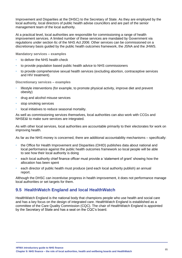Improvement and Disparities at the DHSC) to the Secretary of State. As they are employed by the local authority, local directors of public health advise councillors and are part of the senior management team of the local authority.

At a practical level, local authorities are responsible for commissioning a range of health improvement services. A limited number of these services are mandated by Government via regulations under section 6c of the *NHS Act 2006*. Other services can be commissioned on a discretionary basis guided by the public health outcomes framework, the JSNA and the JHWS.

**Mandatory services – examples**

- to deliver the NHS health check
- to provide population based public health advice to NHS commissioners
- to provide comprehensive sexual health services (excluding abortion, contraceptive services and HIV treatment).

**Discretionary services – examples**

- lifestyle interventions (for example, to promote physical activity, improve diet and prevent obesity)
- drug and alcohol misuse services
- stop smoking services
- local initiatives to reduce seasonal mortality.

As well as commissioning services themselves, local authorities can also work with CCGs and NHSE&I to make sure services are integrated.

As with other local services, local authorities are accountable primarily to their electorates for work on improving health.

As far as the NHS money is concerned, there are additional accountability mechanisms – specifically:

- the Office for Health Improvement and Disparities (OHID) publishes data about national and local performance against the public health outcomes framework so local people will be able to see how their local authority is doing
- each local authority chief finance officer must provide a 'statement of grant' showing how the allocation has been spent
- each director of public health must produce (and each local authority publish) an annual report.

Although the DHSC can incentivise progress in health improvement, it does not performance manage local authorities or set targets for them.

# **9.5 HealthWatch England and local HealthWatch**

HealthWatch England is the national body that champions people who use health and social care and has a key focus on the design of integrated care. HealthWatch England is established as a committee of the Care Quality Commission (CQC). The chair of HealthWatch England is appointed by the Secretary of State and has a seat on the CQC's board.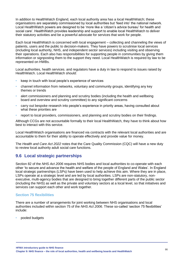In addition to HealthWatch England, each local authority area has a local HealthWatch; these organisations are separately commissioned by local authorities but 'feed into' the national network. Local HealthWatch powers are designed to be 'more like a 'citizen's advice bureau' for health and social care'. HealthWatch provides leadership and support to enable local HealthWatch to deliver their statutory activities and be a powerful advocate for services that work for people.

Each local HealthWatch is concerned with local engagement – collecting and channeling the views of patients, users and the public to decision-makers. They have powers to scrutinise local services (including local authority, NHS, and independent sector services) including visiting and observing their operations. Each also has responsibilities for supporting people in communities by giving them information or signposting them to the support they need. Local HealthWatch is required by law to be represented on HWBs.

Local authorities, health services. and regulators have a duty in law to respond to issues raised by HealthWatch. Local HealthWatch should:

- keep in touch with local people's experience of services
- channel information from networks, voluntary and community groups, identifying any key themes or trends
- alert commissioners and planning and scrutiny bodies (including the health and wellbeing board and overview and scrutiny committee) to any significant concerns
- carry out bespoke research into people's experience in priority areas, having consulted about what these priorities are
- report to local providers, commissioners, and planning and scrutiny bodies on their findings.

Although CCGs are not accountable formally to their local HealthWatch, they have to think about how best to interact with this service.

Local HealthWatch organisations are financed via contracts with the relevant local authorities and are accountable to them for their ability to operate effectively and provide value for money.

The *Health and Care Act 2022* notes that the Care Quality Commission (CQC) will have a new duty to review local authority adult social care functions.

### **9.6 Local strategic partnerships**

Section 82 of the *NHS Act 2006* requires NHS bodies and local authorities to co-operate with each other 'to secure and advance the health and welfare of the people of England and Wales'. In England local strategic partnerships (LSPs) have been used to help achieve this aim. Where they are in place, LSPs operate at a strategic level and are led by local authorities. LSPs are non-statutory, nonexecutive, multi-agency bodies that are designed to bring together different parts of the public sector (including the NHS) as well as the private and voluntary sectors at a local level, so that initiatives and services can support each other and work together.

### **Section 75 flexibilities**

There are a number of arrangements for joint working between NHS organisations and local authorities included within section 75 of the *NHS Act 2006*. These so-called 'section 75 flexibilities' include:

• pooled budgets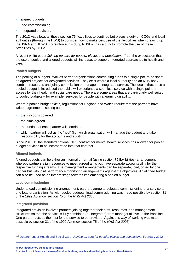- aligned budgets
- lead commissioning
- integrated provision.

The 2012 Act allows all these section 75 flexibilities to continue but places a duty on CCGs and local authorities (through the HWB) to consider how to make best use of the flexibilities when drawing up the JSNA and JHWS. To reinforce this duty, NHSE&I has a duty to promote the use of these flexibilities by CCGs.

A recent white paper *Joining up care for people, places and populations<sup>113</sup>* set the expectation that the use of pooled and aligned budgets will increase, to support integrated approaches to health and care.

### **Pooled budgets**

The pooling of budgets involves partner organisations contributing funds to a single pot, to be spent on agreed projects for designated services. They exist where a local authority and an NHS body combine resources and jointly commission or manage an integrated service. The idea is that, once a pooled budget is introduced the public will experience a seamless service with a single point of access for their health and social care needs. There are some areas that are particularly well suited to pooled budgets – for example, services for people with a learning disability.

Where a pooled budget exists, regulations for England and Wales require that the partners have written agreements setting out:

- the functions covered
- the aims agreed
- the funds that each partner will contribute
- which partner will act as the 'host' (i.e. which organisation will manage the budget and take responsibility for the accounts and auditing)

Since 2010/11 the standard national NHS contract for mental health services has allowed for pooled budget services to be incorporated into that contract.

### **Aligned budgets**

Aligned budgets can be either an informal or formal (using section 75 flexibilities) arrangement whereby partners align resources to meet agreed aims but have separate accountability for the respective funding streams. The management arrangements can be separate, joint, or led by one partner but with joint performance monitoring arrangements against the objectives. An aligned budget can also be used as an interim stage towards implementing a pooled budget.

#### **Lead commissioning**

Under a lead commissioning arrangement, partners agree to delegate commissioning of a service to one lead organisation. As with pooled budgets, lead commissioning was made possible by section 31 of the 1999 Act (now section 75 of the *NHS Act 2006*).

#### **Integrated provision**

Integrated provision involves partners joining together their staff, resources, and management structures so that the service is fully combined (or integrated) from managerial level to the front line. One partner acts as the host for the service to be provided. Again, this way of working was made possible by section 31 of the 1999 Act (now section 75 of the *NHS Act 2006*).

**HFMA introductory guide to NHS finance Chapter 9: NHS finance – the role of local authorities, health and wellbeing boards and HealthWatch** <sup>87</sup>

<sup>113</sup> Department of Health and Social Care, *[Joining up care for people, places and populations](https://assets.publishing.service.gov.uk/government/uploads/system/uploads/attachment_data/file/1055687/joining-up-care-for-people-places-and-populations-web-accessible.pdf)*, February 2022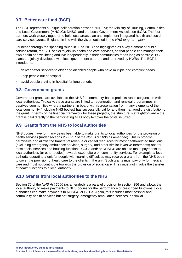# **9.7 Better care fund (BCF)**

The BCF represents a unique collaboration between NHSE&I; the Ministry of Housing, Communities and Local Government (MHCLG); DHSC; and the Local Government Association (LGA). The four partners work closely together to help local areas plan and implement integrated health and social care services across England, in line with the vision outlined in the *NHS long-term plan*.

Launched through the spending round in June 2013 and highlighted as a key element of public service reform, the BCF seeks to join-up health and care services, so that people can manage their own health and wellbeing and live independently in their communities for as long as possible. BCF plans are jointly developed with local government partners and approved by HWBs. The BCF is intended to:

- deliver better services to older and disabled people who have multiple and complex needs
- keep people out of hospital
- avoid people staying in hospital for long periods.

### **9.8 Government grants**

Government grants are available to the NHS for community-based projects run in conjunction with local authorities. Typically, these grants are linked to regeneration and renewal programmes in deprived communities where a partnership board with representation from many elements of the local community (including NHS bodies) has successfully bid for and then managed the distribution of the grant. In terms of the financial framework for these projects, the structure is straightforward – the grant is paid directly to the participating NHS body to cover the costs incurred.

### **9.9 Grants from the NHS to local authorities**

NHS bodies have for many years been able to make grants to local authorities for the provision of health services (under sections 256/ 257 of the *NHS Act 2006* as amended). This is broadly permissive and allows the transfer of revenue or capital resources for most health-related functions (excluding emergency ambulance services, surgery, and other similar invasive treatments) and for most social services and housing functions. CCGs and/ or NHSE&I are able to make payments to local authorities (or other bodies) towards expenditure on community services. For example, a local authority operating a unit for people with learning difficulties may receive a grant from the NHS body to cover the provision of healthcare to the clients in the unit. Such grants must pay only for medical care and must not contribute towards the provision of social care. They must not involve the transfer of health functions to a local authority.

### **9.10 Grants from local authorities to the NHS**

Section 76 of the *NHS Act 2006* (as amended) is a parallel provision to section 256 and allows the local authority to make payments to NHS bodies for the performance of prescribed functions. Local authorities can make payments to NHSE&I or CCGs. Again, this includes most hospital and community health services but not surgery, emergency ambulance services, or similar.